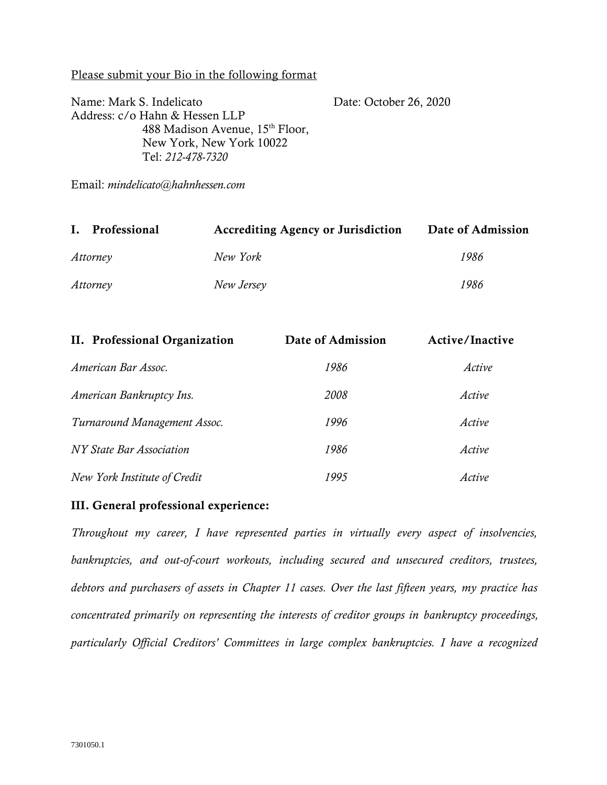### Please submit your Bio in the following format

Name: Mark S. Indelicato Address: c/o Hahn & Hessen LLP 488 Madison Avenue, 15th Floor, New York, New York 10022 Tel: *212-478-7320* Date: October 26, 2020

Email: *mindelicato@hahnhessen.com*

| Ι.<br>Professional | <b>Accrediting Agency or Jurisdiction</b> | Date of Admission |
|--------------------|-------------------------------------------|-------------------|
| Attorney           | New York                                  | 1986              |
| Attorney           | New Jersey                                | 1986              |

| II. Professional Organization | Date of Admission | Active/Inactive |
|-------------------------------|-------------------|-----------------|
| American Bar Assoc.           | 1986              | Active          |
| American Bankruptcy Ins.      | 2008              | Active          |
| Turnaround Management Assoc.  | 1996              | Active          |
| NY State Bar Association      | 1986              | Active          |
| New York Institute of Credit  | 1995              | Active          |

## III. General professional experience:

*Throughout my career, I have represented parties in virtually every aspect of insolvencies, bankruptcies, and out-of-court workouts, including secured and unsecured creditors, trustees, debtors and purchasers of assets in Chapter 11 cases. Over the last fifteen years, my practice has concentrated primarily on representing the interests of creditor groups in bankruptcy proceedings, particularly Official Creditors' Committees in large complex bankruptcies. I have a recognized*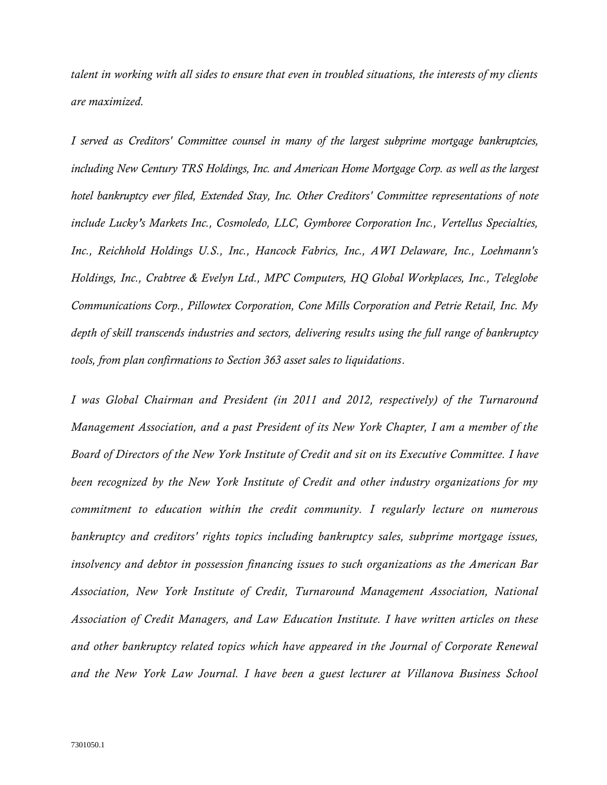*talent in working with all sides to ensure that even in troubled situations, the interests of my clients are maximized.*

*I served as Creditors' Committee counsel in many of the largest subprime mortgage bankruptcies, including New Century TRS Holdings, Inc. and American Home Mortgage Corp. as well as the largest hotel bankruptcy ever filed, Extended Stay, Inc. Other Creditors' Committee representations of note include Lucky's Markets Inc., Cosmoledo, LLC, Gymboree Corporation Inc., Vertellus Specialties, Inc., Reichhold Holdings U.S., Inc., Hancock Fabrics, Inc., AWI Delaware, Inc., Loehmann's Holdings, Inc., Crabtree & Evelyn Ltd., MPC Computers, HQ Global Workplaces, Inc., Teleglobe Communications Corp., Pillowtex Corporation, Cone Mills Corporation and Petrie Retail, Inc. My depth of skill transcends industries and sectors, delivering results using the full range of bankruptcy tools, from plan confirmations to Section 363 asset sales to liquidations.*

*I was Global Chairman and President (in 2011 and 2012, respectively) of the Turnaround Management Association, and a past President of its New York Chapter, I am a member of the Board of Directors of the New York Institute of Credit and sit on its Executiv e Committee. I have been recognized by the New York Institute of Credit and other industry organizations for my commitment to education within the credit community. I regularly lecture on numerous bankruptcy and creditors' rights topics including bankruptcy sales, subprime mortgage issues, insolvency and debtor in possession financing issues to such organizations as the American Bar Association, New York Institute of Credit, Turnaround Management Association, National Association of Credit Managers, and Law Education Institute. I have written articles on these and other bankruptcy related topics which have appeared in the Journal of Corporate Renewal and the New York Law Journal. I have been a guest lecturer at Villanova Business School*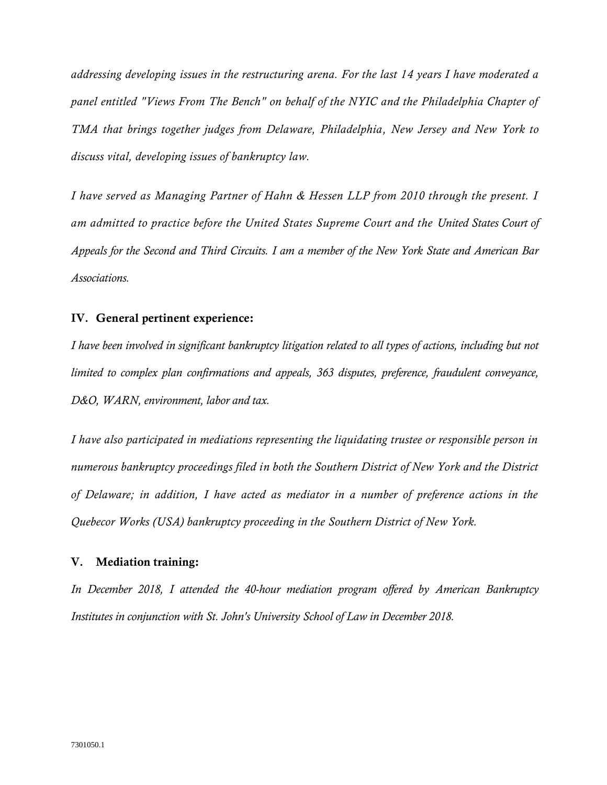*addressing developing issues in the restructuring arena. For the last 14 years I have moderated a panel entitled "Views From The Bench" on behalf of the NYIC and the Philadelphia Chapter of TMA that brings together judges from Delaware, Philadelphia, New Jersey and New York to discuss vital, developing issues of bankruptcy law.*

*I have served as Managing Partner of Hahn & Hessen LLP from 2010 through the present. I am admitted to practice before the United States Supreme Court and the United States Court of Appeals for the Second and Third Circuits. I am a member of the New York State and American Bar Associations.*

### **IV.** General pertinent experience:

*I have been involved in significant bankruptcy litigation related to all types of actions, including but not limited to complex plan confirmations and appeals, 363 disputes, preference, fraudulent conveyance, D&O, WARN, environment, labor and tax.*

*I have also participated in mediations representing the liquidating trustee or responsible person in numerous bankruptcy proceedings filed in both the Southern District of New York and the District of Delaware; in addition, I have acted as mediator in a number of preference actions in the Quebecor Works (USA) bankruptcy proceeding in the Southern District of New York.*

#### **V.** Mediation training:

*In December 2018, I attended the 40-hour mediation program offered by American Bankruptcy Institutes in conjunction with St. John's University School of Law in December 2018.*